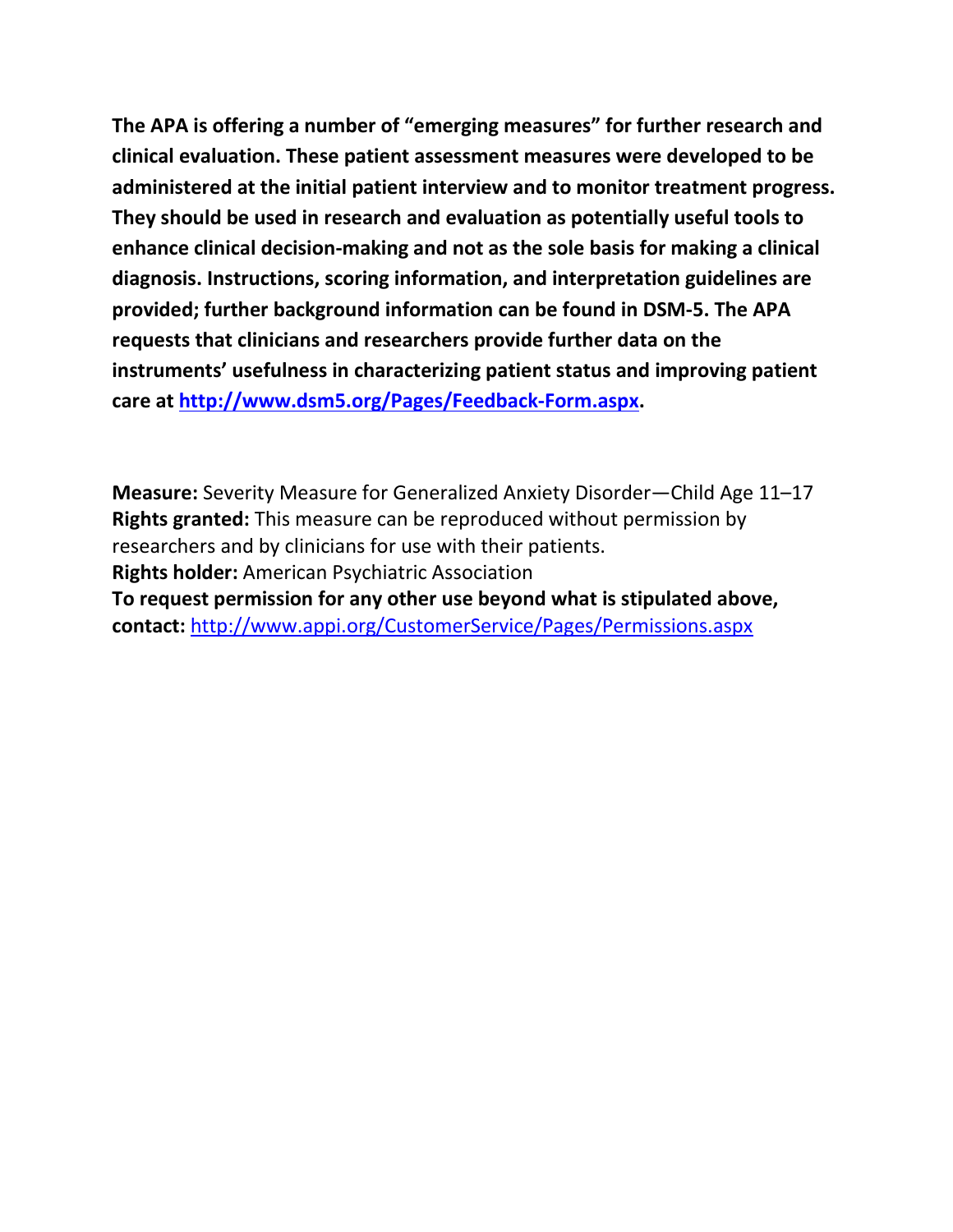**The APA is offering a number of "emerging measures" for further research and clinical evaluation. These patient assessment measures were developed to be administered at the initial patient interview and to monitor treatment progress. They should be used in research and evaluation as potentially useful tools to enhance clinical decision-making and not as the sole basis for making a clinical diagnosis. Instructions, scoring information, and interpretation guidelines are provided; further background information can be found in DSM-5. The APA requests that clinicians and researchers provide further data on the instruments' usefulness in characterizing patient status and improving patient care at [http://www.dsm5.org/Pages/Feedback-Form.aspx.](http://www.dsm5.org/Pages/Feedback-Form.aspx)**

**Measure:** Severity Measure for Generalized Anxiety Disorder—Child Age 11–17 **Rights granted:** This measure can be reproduced without permission by researchers and by clinicians for use with their patients. **Rights holder:** American Psychiatric Association **To request permission for any other use beyond what is stipulated above, contact:** <http://www.appi.org/CustomerService/Pages/Permissions.aspx>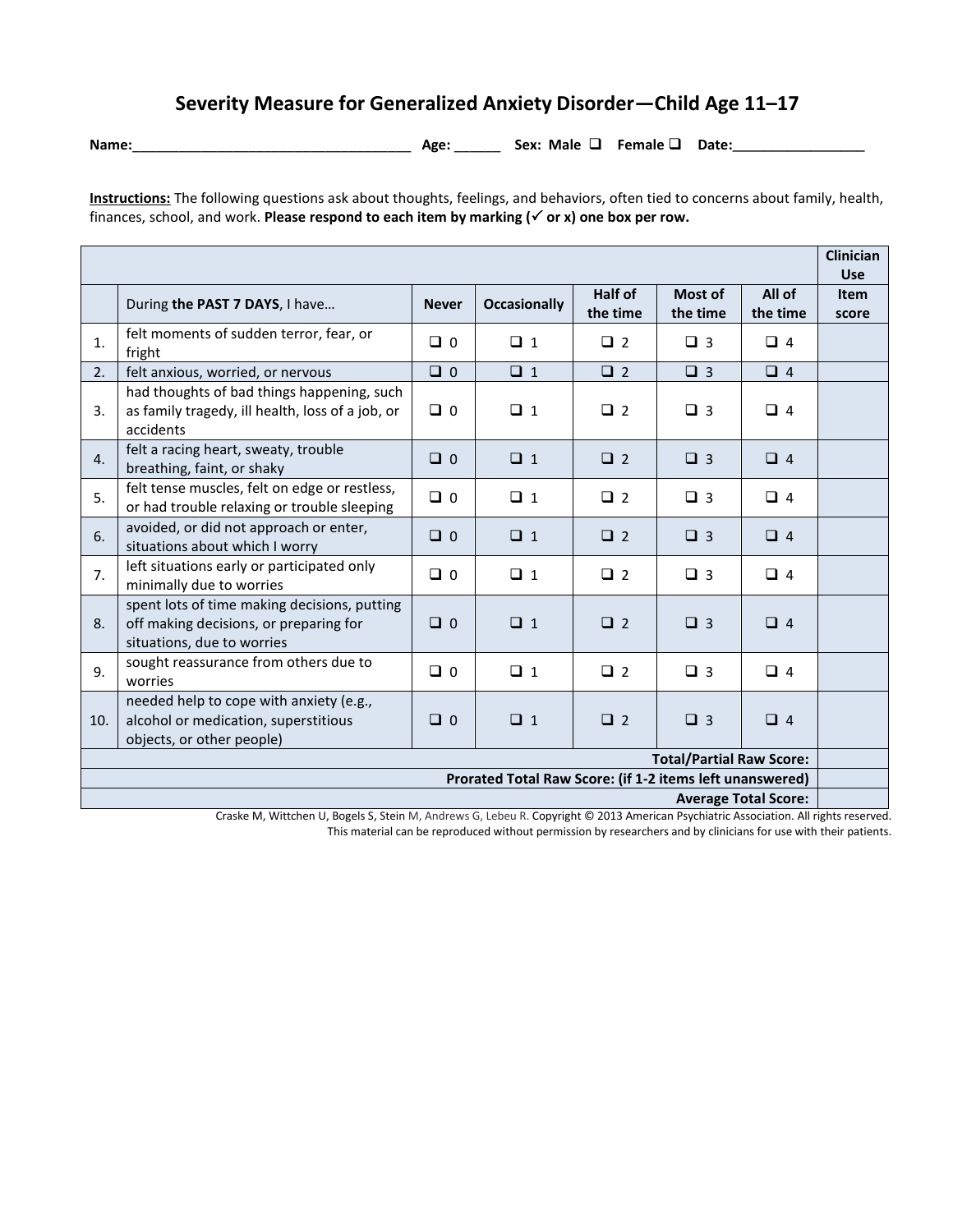## **Severity Measure for Generalized Anxiety Disorder—Child Age 11–17**

**Name:**\_\_\_\_\_\_\_\_\_\_\_\_\_\_\_\_\_\_\_\_\_\_\_\_\_\_\_\_\_\_\_\_\_\_\_\_ **Age:** \_\_\_\_\_\_ **Sex: Male Female Date:\_\_\_\_\_\_\_\_\_\_\_\_\_\_\_\_\_**

**Instructions:** The following questions ask about thoughts, feelings, and behaviors, often tied to concerns about family, health, finances, school, and work. Please respond to each item by marking ( $\checkmark$  or x) one box per row.

|                                                                                                                                                                |                                                                                                                      |              |                     |                     |                     |                    | <b>Clinician</b><br><b>Use</b> |
|----------------------------------------------------------------------------------------------------------------------------------------------------------------|----------------------------------------------------------------------------------------------------------------------|--------------|---------------------|---------------------|---------------------|--------------------|--------------------------------|
|                                                                                                                                                                | During the PAST 7 DAYS, I have                                                                                       | <b>Never</b> | <b>Occasionally</b> | Half of<br>the time | Most of<br>the time | All of<br>the time | <b>Item</b><br>score           |
| 1.                                                                                                                                                             | felt moments of sudden terror, fear, or<br>fright                                                                    | $\Box$ 0     | $\Box$ 1            | $\Box$ 2            | $\Box$ 3            | $\Box$ 4           |                                |
| 2.                                                                                                                                                             | felt anxious, worried, or nervous                                                                                    | $\Box$ 0     | $\Box$ 1            | $\Box$ 2            | $\Box$ 3            | $\Box$ 4           |                                |
| 3.                                                                                                                                                             | had thoughts of bad things happening, such<br>as family tragedy, ill health, loss of a job, or<br>accidents          | $\Box$ 0     | $\Box$ 1            | $\Box$ 2            | $\Box$ 3            | $\Box$ 4           |                                |
| 4.                                                                                                                                                             | felt a racing heart, sweaty, trouble<br>breathing, faint, or shaky                                                   | $\Box$ 0     | $\Box$ 1            | $\Box$ 2            | $\Box$ 3            | $\Box$ 4           |                                |
| 5.                                                                                                                                                             | felt tense muscles, felt on edge or restless,<br>or had trouble relaxing or trouble sleeping                         | $\Box$ 0     | $\Box$ 1            | $\Box$ 2            | $\Box$ 3            | $\Box$ 4           |                                |
| 6.                                                                                                                                                             | avoided, or did not approach or enter,<br>situations about which I worry                                             | $\Box$ 0     | $\Box$ 1            | $\Box$ 2            | $\Box$ 3            | $\Box$ 4           |                                |
| 7.                                                                                                                                                             | left situations early or participated only<br>minimally due to worries                                               | $\Box$ 0     | $\Box$ 1            | $\Box$ 2            | $\Box$ 3            | $\Box$ 4           |                                |
| 8.                                                                                                                                                             | spent lots of time making decisions, putting<br>off making decisions, or preparing for<br>situations, due to worries | $\Box$ 0     | $\Box$ 1            | $\Box$ 2            | $\Box$ 3            | $\Box$ 4           |                                |
| 9.                                                                                                                                                             | sought reassurance from others due to<br>worries                                                                     | $\Box$ 0     | $\Box$ 1            | $\Box$ 2            | $\Box$ 3            | $\Box$ 4           |                                |
| 10.                                                                                                                                                            | needed help to cope with anxiety (e.g.,<br>alcohol or medication, superstitious<br>objects, or other people)         | $\Box$ 0     | $\Box$ 1            | $\Box$ 2            | $\Box$ 3            | $\Box$ 4           |                                |
| <b>Total/Partial Raw Score:</b>                                                                                                                                |                                                                                                                      |              |                     |                     |                     |                    |                                |
| Prorated Total Raw Score: (if 1-2 items left unanswered)                                                                                                       |                                                                                                                      |              |                     |                     |                     |                    |                                |
| <b>Average Total Score:</b><br>Cuerlie M. Mittelsen H. Benels C. Ctrin M. Andreuse C. Lebeur B. Commission 00000 American Bruckistics Association - All delate |                                                                                                                      |              |                     |                     |                     |                    |                                |

Craske M, Wittchen U, Bogels S, Stein M, Andrews G, Lebeu R. Copyright © 2013 American Psychiatric Association. All rights reserved. This material can be reproduced without permission by researchers and by clinicians for use with their patients.